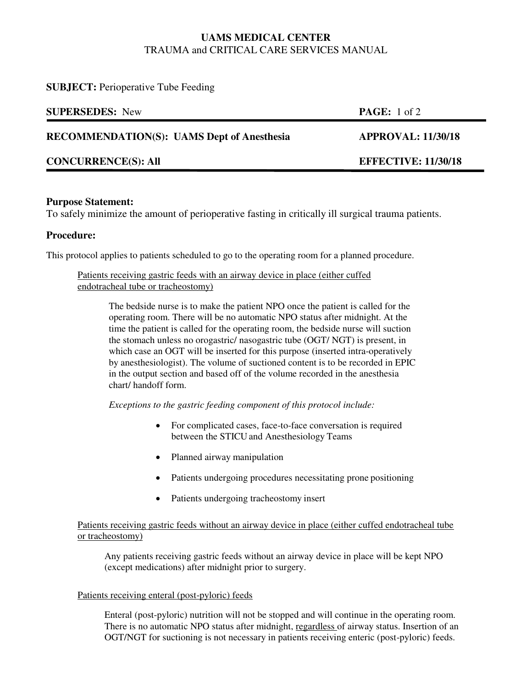# **UAMS MEDICAL CENTER**  TRAUMA and CRITICAL CARE SERVICES MANUAL

| <b>SUPERSEDES:</b> New                            | <b>PAGE:</b> 1 of 2        |
|---------------------------------------------------|----------------------------|
| <b>RECOMMENDATION(S): UAMS Dept of Anesthesia</b> | <b>APPROVAL: 11/30/18</b>  |
| <b>CONCURRENCE(S): All</b>                        | <b>EFFECTIVE: 11/30/18</b> |

## **Purpose Statement:**

**SUBJECT:** Perioperative Tube Feeding

To safely minimize the amount of perioperative fasting in critically ill surgical trauma patients.

## **Procedure:**

This protocol applies to patients scheduled to go to the operating room for a planned procedure.

#### Patients receiving gastric feeds with an airway device in place (either cuffed endotracheal tube or tracheostomy)

The bedside nurse is to make the patient NPO once the patient is called for the operating room. There will be no automatic NPO status after midnight. At the time the patient is called for the operating room, the bedside nurse will suction the stomach unless no orogastric/ nasogastric tube (OGT/ NGT) is present, in which case an OGT will be inserted for this purpose (inserted intra-operatively by anesthesiologist). The volume of suctioned content is to be recorded in EPIC in the output section and based off of the volume recorded in the anesthesia chart/ handoff form.

*Exceptions to the gastric feeding component of this protocol include:* 

- For complicated cases, face-to-face conversation is required between the STICU and Anesthesiology Teams
- Planned airway manipulation
- Patients undergoing procedures necessitating prone positioning
- Patients undergoing tracheostomy insert

#### Patients receiving gastric feeds without an airway device in place (either cuffed endotracheal tube or tracheostomy)

Any patients receiving gastric feeds without an airway device in place will be kept NPO (except medications) after midnight prior to surgery.

#### Patients receiving enteral (post-pyloric) feeds

Enteral (post-pyloric) nutrition will not be stopped and will continue in the operating room. There is no automatic NPO status after midnight, regardless of airway status. Insertion of an OGT/NGT for suctioning is not necessary in patients receiving enteric (post-pyloric) feeds.